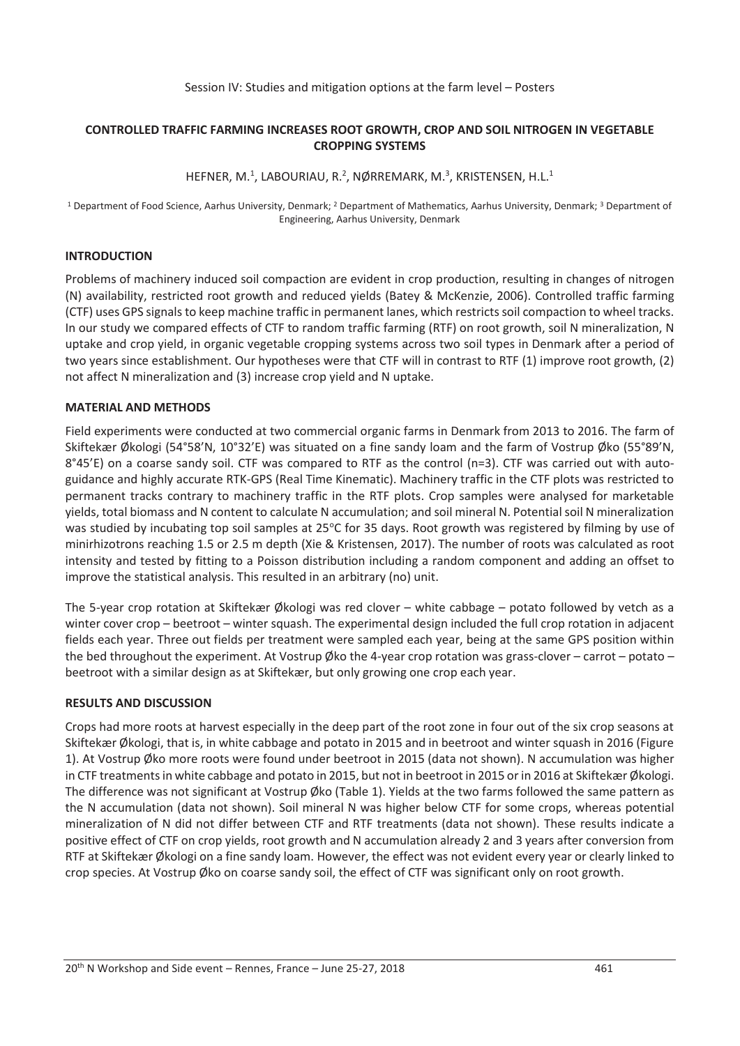### Session IV: Studies and mitigation options at the farm level – Posters

## **CONTROLLED TRAFFIC FARMING INCREASES ROOT GROWTH, CROP AND SOIL NITROGEN IN VEGETABLE CROPPING SYSTEMS**

## HEFNER, M.<sup>1</sup>, LABOURIAU, R.<sup>2</sup>, NØRREMARK, M.<sup>3</sup>, KRISTENSEN, H.L.<sup>1</sup>

1 Department of Food Science, Aarhus University, Denmark; 2 Department of Mathematics, Aarhus University, Denmark; 3 Department of Engineering, Aarhus University, Denmark

# **INTRODUCTION**

Problems of machinery induced soil compaction are evident in crop production, resulting in changes of nitrogen (N) availability, restricted root growth and reduced yields (Batey & McKenzie, 2006). Controlled traffic farming (CTF) uses GPS signals to keep machine traffic in permanent lanes, which restricts soil compaction to wheel tracks. In our study we compared effects of CTF to random traffic farming (RTF) on root growth, soil N mineralization, N uptake and crop yield, in organic vegetable cropping systems across two soil types in Denmark after a period of two years since establishment. Our hypotheses were that CTF will in contrast to RTF (1) improve root growth, (2) not affect N mineralization and (3) increase crop yield and N uptake.

### **MATERIAL AND METHODS**

Field experiments were conducted at two commercial organic farms in Denmark from 2013 to 2016. The farm of Skiftekær Økologi (54°58'N, 10°32'E) was situated on a fine sandy loam and the farm of Vostrup Øko (55°89'N, 8°45'E) on a coarse sandy soil. CTF was compared to RTF as the control (n=3). CTF was carried out with autoguidance and highly accurate RTK-GPS (Real Time Kinematic). Machinery traffic in the CTF plots was restricted to permanent tracks contrary to machinery traffic in the RTF plots. Crop samples were analysed for marketable yields, total biomass and N content to calculate N accumulation; and soil mineral N. Potential soil N mineralization was studied by incubating top soil samples at 25°C for 35 days. Root growth was registered by filming by use of minirhizotrons reaching 1.5 or 2.5 m depth (Xie & Kristensen, 2017). The number of roots was calculated as root intensity and tested by fitting to a Poisson distribution including a random component and adding an offset to improve the statistical analysis. This resulted in an arbitrary (no) unit.

The 5-year crop rotation at Skiftekær Økologi was red clover – white cabbage – potato followed by vetch as a winter cover crop – beetroot – winter squash. The experimental design included the full crop rotation in adjacent fields each year. Three out fields per treatment were sampled each year, being at the same GPS position within the bed throughout the experiment. At Vostrup Øko the 4-year crop rotation was grass-clover – carrot – potato – beetroot with a similar design as at Skiftekær, but only growing one crop each year.

### **RESULTS AND DISCUSSION**

Crops had more roots at harvest especially in the deep part of the root zone in four out of the six crop seasons at Skiftekær Økologi, that is, in white cabbage and potato in 2015 and in beetroot and winter squash in 2016 (Figure 1). At Vostrup Øko more roots were found under beetroot in 2015 (data not shown). N accumulation was higher in CTF treatments in white cabbage and potato in 2015, but not in beetroot in 2015 or in 2016 at Skiftekær Økologi. The difference was not significant at Vostrup Øko (Table 1). Yields at the two farms followed the same pattern as the N accumulation (data not shown). Soil mineral N was higher below CTF for some crops, whereas potential mineralization of N did not differ between CTF and RTF treatments (data not shown). These results indicate a positive effect of CTF on crop yields, root growth and N accumulation already 2 and 3 years after conversion from RTF at Skiftekær Økologi on a fine sandy loam. However, the effect was not evident every year or clearly linked to crop species. At Vostrup Øko on coarse sandy soil, the effect of CTF was significant only on root growth.